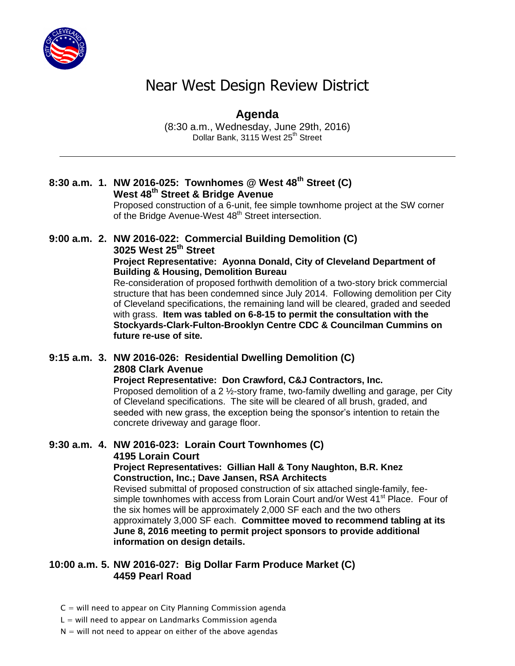

# Near West Design Review District

#### **Agenda** (8:30 a.m., Wednesday, June 29th, 2016) Dollar Bank, 3115 West 25<sup>th</sup> Street

## **8:30 a.m. 1. NW 2016-025: Townhomes @ West 48th Street (C) West 48th Street & Bridge Avenue**

Proposed construction of a 6-unit, fee simple townhome project at the SW corner of the Bridge Avenue-West 48<sup>th</sup> Street intersection.

## **9:00 a.m. 2. NW 2016-022: Commercial Building Demolition (C) 3025 West 25th Street**

#### **Project Representative: Ayonna Donald, City of Cleveland Department of Building & Housing, Demolition Bureau**

Re-consideration of proposed forthwith demolition of a two-story brick commercial structure that has been condemned since July 2014. Following demolition per City of Cleveland specifications, the remaining land will be cleared, graded and seeded with grass. **Item was tabled on 6-8-15 to permit the consultation with the Stockyards-Clark-Fulton-Brooklyn Centre CDC & Councilman Cummins on future re-use of site.**

## **9:15 a.m. 3. NW 2016-026: Residential Dwelling Demolition (C) 2808 Clark Avenue**

**Project Representative: Don Crawford, C&J Contractors, Inc.** Proposed demolition of a 2 ½-story frame, two-family dwelling and garage, per City of Cleveland specifications. The site will be cleared of all brush, graded, and seeded with new grass, the exception being the sponsor's intention to retain the concrete driveway and garage floor.

## **9:30 a.m. 4. NW 2016-023: Lorain Court Townhomes (C)**

**4195 Lorain Court**

**Project Representatives: Gillian Hall & Tony Naughton, B.R. Knez Construction, Inc.; Dave Jansen, RSA Architects**

Revised submittal of proposed construction of six attached single-family, feesimple townhomes with access from Lorain Court and/or West 41<sup>st</sup> Place. Four of the six homes will be approximately 2,000 SF each and the two others approximately 3,000 SF each. **Committee moved to recommend tabling at its June 8, 2016 meeting to permit project sponsors to provide additional information on design details.**

### **10:00 a.m. 5. NW 2016-027: Big Dollar Farm Produce Market (C) 4459 Pearl Road**

- $C =$  will need to appear on City Planning Commission agenda
- $L =$  will need to appear on Landmarks Commission agenda
- $N =$  will not need to appear on either of the above agendas